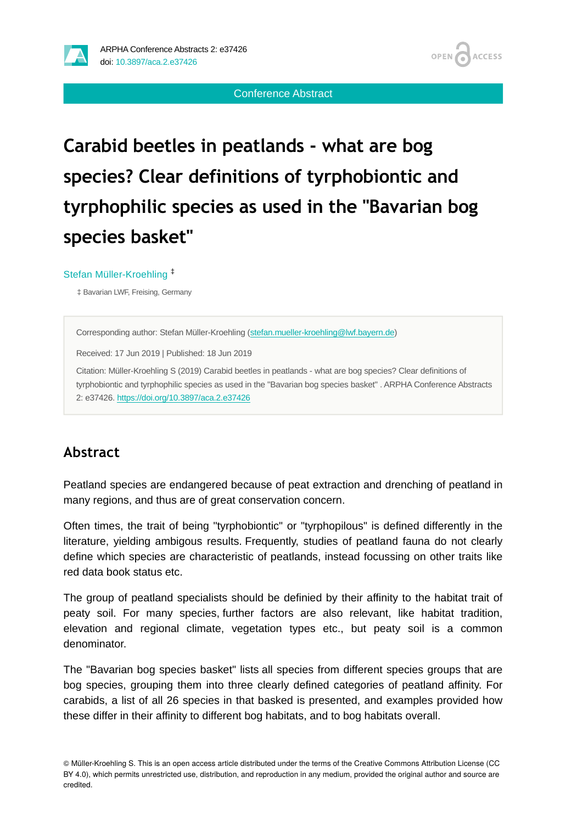

Conference Abstract

# **Carabid beetles in peatlands - what are bog species? Clear definitions of tyrphobiontic and tyrphophilic species as used in the "Bavarian bog species basket"**

#### Stefan Müller-Kroehling ‡

‡ Bavarian LWF, Freising, Germany

Corresponding author: Stefan Müller-Kroehling ([stefan.mueller-kroehling@lwf.bayern.de\)](mailto:stefan.mueller-kroehling@lwf.bayern.de)

Received: 17 Jun 2019 | Published: 18 Jun 2019

Citation: Müller-Kroehling S (2019) Carabid beetles in peatlands - what are bog species? Clear definitions of tyrphobiontic and tyrphophilic species as used in the "Bavarian bog species basket" . ARPHA Conference Abstracts 2: e37426. <https://doi.org/10.3897/aca.2.e37426>

#### **Abstract**

Peatland species are endangered because of peat extraction and drenching of peatland in many regions, and thus are of great conservation concern.

Often times, the trait of being "tyrphobiontic" or "tyrphopilous" is defined differently in the literature, yielding ambigous results. Frequently, studies of peatland fauna do not clearly define which species are characteristic of peatlands, instead focussing on other traits like red data book status etc.

The group of peatland specialists should be definied by their affinity to the habitat trait of peaty soil. For many species, further factors are also relevant, like habitat tradition, elevation and regional climate, vegetation types etc., but peaty soil is a common denominator.

The "Bavarian bog species basket" lists all species from different species groups that are bog species, grouping them into three clearly defined categories of peatland affinity. For carabids, a list of all 26 species in that basked is presented, and examples provided how these differ in their affinity to different bog habitats, and to bog habitats overall.

<sup>©</sup> Müller-Kroehling S. This is an open access article distributed under the terms of the Creative Commons Attribution License (CC BY 4.0), which permits unrestricted use, distribution, and reproduction in any medium, provided the original author and source are credited.